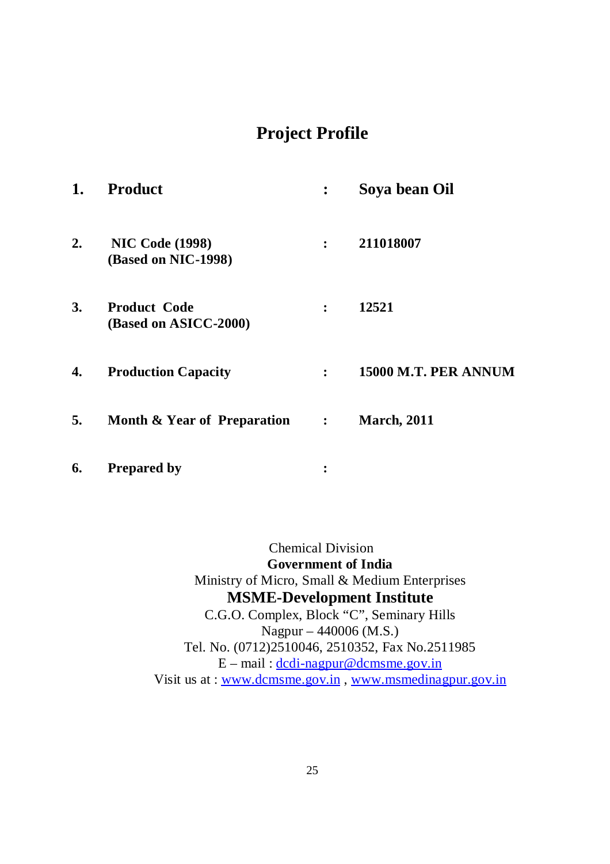# **Project Profile**

| 1.        | <b>Product</b>                                |                | Soya bean Oil        |
|-----------|-----------------------------------------------|----------------|----------------------|
| 2.        | <b>NIC Code (1998)</b><br>(Based on NIC-1998) | $\ddot{\cdot}$ | 211018007            |
| <b>3.</b> | <b>Product Code</b><br>(Based on ASICC-2000)  | $\ddot{\cdot}$ | 12521                |
| 4.        | <b>Production Capacity</b>                    | $\ddot{\cdot}$ | 15000 M.T. PER ANNUM |
| 5.        | <b>Month &amp; Year of Preparation</b>        | $\ddot{\cdot}$ | <b>March, 2011</b>   |
| 6.        | <b>Prepared by</b>                            | ፡              |                      |

Chemical Division **Government of India** Ministry of Micro, Small & Medium Enterprises **MSME-Development Institute** C.G.O. Complex, Block "C", Seminary Hills Nagpur – 440006 (M.S.) Tel. No. (0712)2510046, 2510352, Fax No.2511985  $E$  – mail:  $\frac{d}{d}$  dc $\frac{d}{d}$  -nagpur@dcmsme.gov.in Visit us at : www.dcmsme.gov.in , www.msmedinagpur.gov.in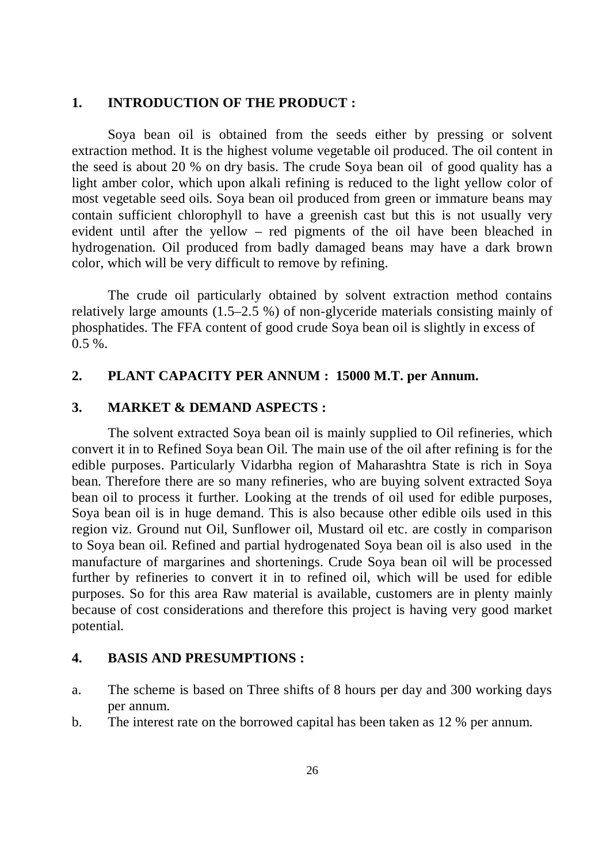### **1. INTRODUCTION OF THE PRODUCT :**

Soya bean oil is obtained from the seeds either by pressing or solvent extraction method. It is the highest volume vegetable oil produced. The oil content in the seed is about 20 % on dry basis. The crude Soya bean oil of good quality has a light amber color, which upon alkali refining is reduced to the light yellow color of most vegetable seed oils. Soya bean oil produced from green or immature beans may contain sufficient chlorophyll to have a greenish cast but this is not usually very evident until after the yellow – red pigments of the oil have been bleached in hydrogenation. Oil produced from badly damaged beans may have a dark brown color, which will be very difficult to remove by refining.

The crude oil particularly obtained by solvent extraction method contains relatively large amounts (1.5–2.5 %) of non-glyceride materials consisting mainly of phosphatides. The FFA content of good crude Soya bean oil is slightly in excess of  $0.5 \%$ .

### **2. PLANT CAPACITY PER ANNUM : 15000 M.T. per Annum.**

### **3. MARKET & DEMAND ASPECTS :**

The solvent extracted Soya bean oil is mainly supplied to Oil refineries, which convert it in to Refined Soya bean Oil. The main use of the oil after refining is for the edible purposes. Particularly Vidarbha region of Maharashtra State is rich in Soya bean. Therefore there are so many refineries, who are buying solvent extracted Soya bean oil to process it further. Looking at the trends of oil used for edible purposes, Soya bean oil is in huge demand. This is also because other edible oils used in this region viz. Ground nut Oil, Sunflower oil, Mustard oil etc. are costly in comparison to Soya bean oil. Refined and partial hydrogenated Soya bean oil is also used in the manufacture of margarines and shortenings. Crude Soya bean oil will be processed further by refineries to convert it in to refined oil, which will be used for edible purposes. So for this area Raw material is available, customers are in plenty mainly because of cost considerations and therefore this project is having very good market potential.

### **4. BASIS AND PRESUMPTIONS :**

- a. The scheme is based on Three shifts of 8 hours per day and 300 working days per annum.
- b. The interest rate on the borrowed capital has been taken as 12 % per annum.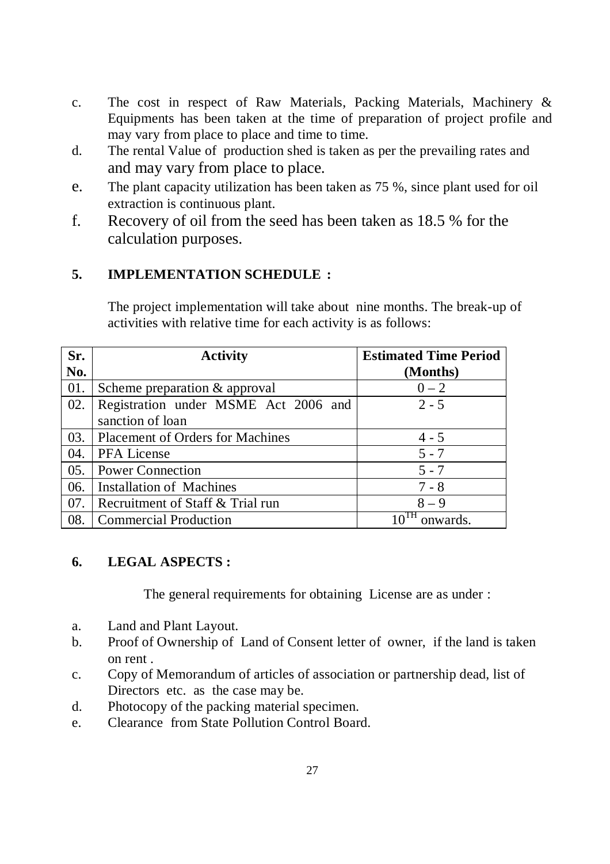- c. The cost in respect of Raw Materials, Packing Materials, Machinery & Equipments has been taken at the time of preparation of project profile and may vary from place to place and time to time.
- d. The rental Value of production shed is taken as per the prevailing rates and and may vary from place to place.
- e. The plant capacity utilization has been taken as 75 %, since plant used for oil extraction is continuous plant.
- f. Recovery of oil from the seed has been taken as 18.5 % for the calculation purposes.

## **5. IMPLEMENTATION SCHEDULE :**

The project implementation will take about nine months. The break-up of activities with relative time for each activity is as follows:

| Sr. | <b>Activity</b>                         | <b>Estimated Time Period</b> |
|-----|-----------------------------------------|------------------------------|
| No. |                                         | (Months)                     |
| 01. | Scheme preparation & approval           | $0 - 2$                      |
| 02. | Registration under MSME Act 2006 and    | $2 - 5$                      |
|     | sanction of loan                        |                              |
| 03. | <b>Placement of Orders for Machines</b> | $4 - 5$                      |
| 04. | <b>PFA</b> License                      | $5 - 7$                      |
| 05. | <b>Power Connection</b>                 | $5 - 7$                      |
| 06. | <b>Installation of Machines</b>         | $7 - 8$                      |
| 07. | Recruitment of Staff & Trial run        | $8 - 9$                      |
| 08. | <b>Commercial Production</b>            | onwards.                     |

## **6. LEGAL ASPECTS :**

The general requirements for obtaining License are as under :

- a. Land and Plant Layout.
- b. Proof of Ownership of Land of Consent letter of owner, if the land is taken on rent .
- c. Copy of Memorandum of articles of association or partnership dead, list of Directors etc. as the case may be.
- d. Photocopy of the packing material specimen.
- e. Clearance from State Pollution Control Board.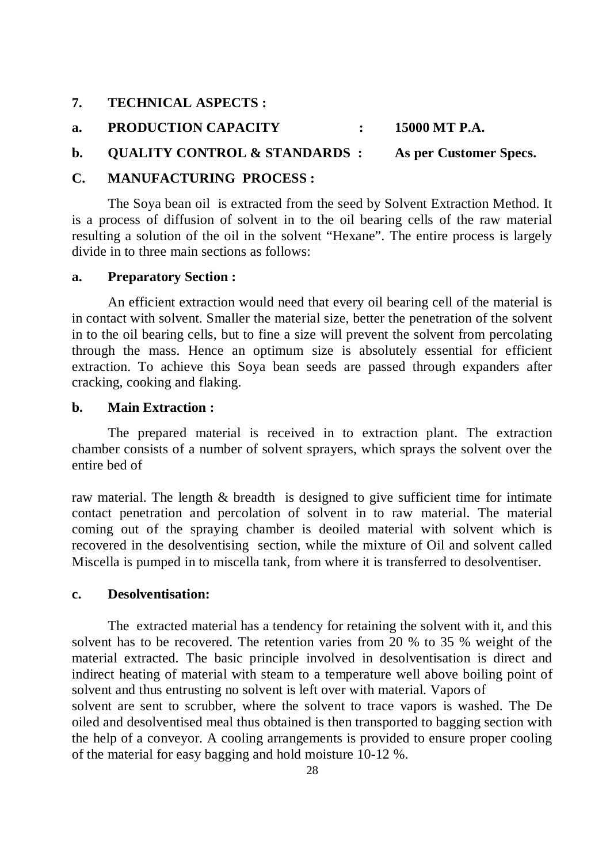- **7. TECHNICAL ASPECTS :**
- **a. PRODUCTION CAPACITY : 15000 MT P.A.**
- **b. QUALITY CONTROL & STANDARDS : As per Customer Specs.**

### **C. MANUFACTURING PROCESS :**

The Soya bean oil is extracted from the seed by Solvent Extraction Method. It is a process of diffusion of solvent in to the oil bearing cells of the raw material resulting a solution of the oil in the solvent "Hexane". The entire process is largely divide in to three main sections as follows:

### **a. Preparatory Section :**

An efficient extraction would need that every oil bearing cell of the material is in contact with solvent. Smaller the material size, better the penetration of the solvent in to the oil bearing cells, but to fine a size will prevent the solvent from percolating through the mass. Hence an optimum size is absolutely essential for efficient extraction. To achieve this Soya bean seeds are passed through expanders after cracking, cooking and flaking.

### **b. Main Extraction :**

The prepared material is received in to extraction plant. The extraction chamber consists of a number of solvent sprayers, which sprays the solvent over the entire bed of

raw material. The length & breadth is designed to give sufficient time for intimate contact penetration and percolation of solvent in to raw material. The material coming out of the spraying chamber is deoiled material with solvent which is recovered in the desolventising section, while the mixture of Oil and solvent called Miscella is pumped in to miscella tank, from where it is transferred to desolventiser.

### **c. Desolventisation:**

The extracted material has a tendency for retaining the solvent with it, and this solvent has to be recovered. The retention varies from 20 % to 35 % weight of the material extracted. The basic principle involved in desolventisation is direct and indirect heating of material with steam to a temperature well above boiling point of solvent and thus entrusting no solvent is left over with material. Vapors of solvent are sent to scrubber, where the solvent to trace vapors is washed. The De oiled and desolventised meal thus obtained is then transported to bagging section with the help of a conveyor. A cooling arrangements is provided to ensure proper cooling of the material for easy bagging and hold moisture 10-12 %.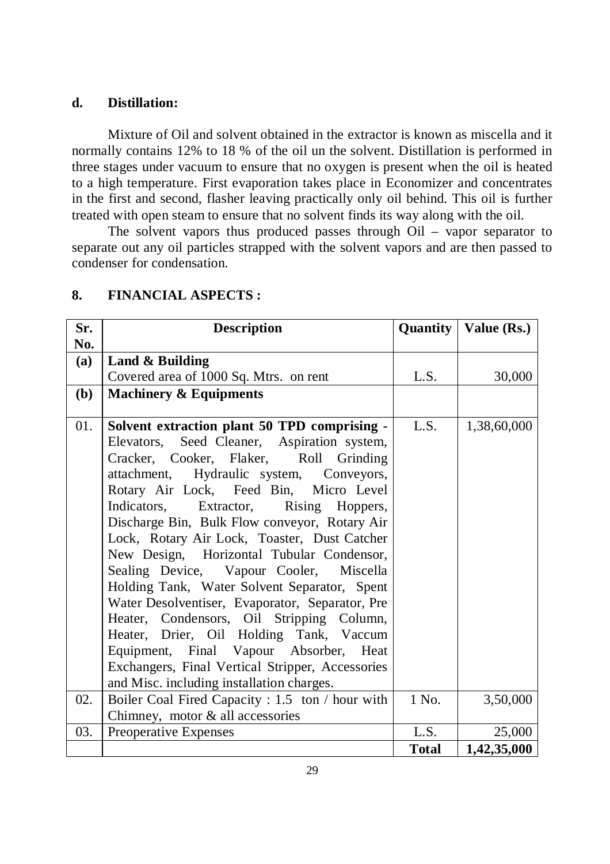### **d. Distillation:**

Mixture of Oil and solvent obtained in the extractor is known as miscella and it normally contains 12% to 18 % of the oil un the solvent. Distillation is performed in three stages under vacuum to ensure that no oxygen is present when the oil is heated to a high temperature. First evaporation takes place in Economizer and concentrates in the first and second, flasher leaving practically only oil behind. This oil is further treated with open steam to ensure that no solvent finds its way along with the oil.

The solvent vapors thus produced passes through Oil – vapor separator to separate out any oil particles strapped with the solvent vapors and are then passed to condenser for condensation.

| Sr.        | <b>Description</b>                               |              | <b>Quantity   Value (Rs.)</b> |
|------------|--------------------------------------------------|--------------|-------------------------------|
| No.        |                                                  |              |                               |
| (a)        | Land & Building                                  |              |                               |
|            | Covered area of 1000 Sq. Mtrs. on rent           | L.S.         | 30,000                        |
| <b>(b)</b> | <b>Machinery &amp; Equipments</b>                |              |                               |
|            |                                                  |              |                               |
| 01.        | Solvent extraction plant 50 TPD comprising -     | L.S.         | 1,38,60,000                   |
|            | Elevators, Seed Cleaner, Aspiration system,      |              |                               |
|            | Cracker, Cooker, Flaker, Roll Grinding           |              |                               |
|            | attachment, Hydraulic system, Conveyors,         |              |                               |
|            | Rotary Air Lock, Feed Bin, Micro Level           |              |                               |
|            | Indicators, Extractor, Rising Hoppers,           |              |                               |
|            | Discharge Bin, Bulk Flow conveyor, Rotary Air    |              |                               |
|            | Lock, Rotary Air Lock, Toaster, Dust Catcher     |              |                               |
|            | New Design, Horizontal Tubular Condensor,        |              |                               |
|            | Sealing Device, Vapour Cooler, Miscella          |              |                               |
|            | Holding Tank, Water Solvent Separator, Spent     |              |                               |
|            | Water Desolventiser, Evaporator, Separator, Pre  |              |                               |
|            | Heater, Condensors, Oil Stripping Column,        |              |                               |
|            | Heater, Drier, Oil Holding Tank, Vaccum          |              |                               |
|            | Equipment, Final Vapour Absorber, Heat           |              |                               |
|            | Exchangers, Final Vertical Stripper, Accessories |              |                               |
|            | and Misc. including installation charges.        |              |                               |
| 02.        | Boiler Coal Fired Capacity : 1.5 ton / hour with | 1 No.        | 3,50,000                      |
|            | Chimney, motor & all accessories                 |              |                               |
| 03.        | Preoperative Expenses                            | L.S.         | 25,000                        |
|            |                                                  | <b>Total</b> | 1,42,35,000                   |

### **8. FINANCIAL ASPECTS :**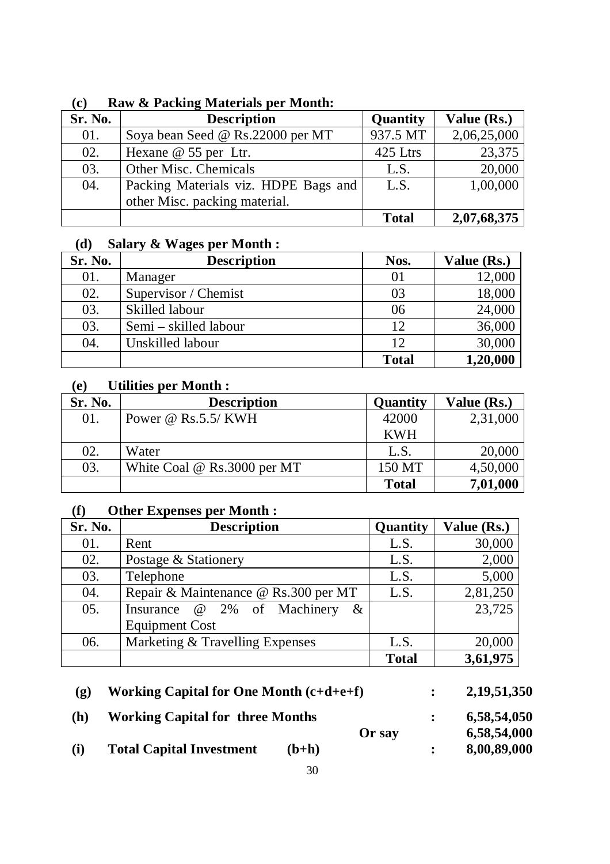| Sr. No. | <b>Description</b>                   | Quantity     | Value (Rs.) |
|---------|--------------------------------------|--------------|-------------|
| 01.     | Soya bean Seed @ Rs.22000 per MT     | 937.5 MT     | 2,06,25,000 |
| 02.     | Hexane $\omega$ 55 per Ltr.          | 425 Ltrs     | 23,375      |
| 03.     | Other Misc. Chemicals                | L.S.         | 20,000      |
| 04.     | Packing Materials viz. HDPE Bags and | L.S.         | 1,00,000    |
|         | other Misc. packing material.        |              |             |
|         |                                      | <b>Total</b> | 2,07,68,375 |

## **(c) Raw & Packing Materials per Month:**

# **(d) Salary & Wages per Month :**

| Sr. No. | <b>Description</b>    | Nos.         | Value (Rs.) |
|---------|-----------------------|--------------|-------------|
| 01.     | Manager               | 01           | 12,000      |
| 02.     | Supervisor / Chemist  | 03           | 18,000      |
| 03.     | Skilled labour        | 06           | 24,000      |
| 03.     | Semi – skilled labour | 12           | 36,000      |
| 04.     | Unskilled labour      | 12           | 30,000      |
|         |                       | <b>Total</b> | 1,20,000    |

# **(e) Utilities per Month :**

| Sr. No. | <b>Description</b>            | Quantity     | Value (Rs.) |
|---------|-------------------------------|--------------|-------------|
| 01.     | Power $\omega$ Rs.5.5/KWH     | 42000        | 2,31,000    |
|         |                               | <b>KWH</b>   |             |
| 02.     | Water                         | L.S.         | 20,000      |
| 03.     | White Coal $@$ Rs.3000 per MT | 150 MT       | 4,50,000    |
|         |                               | <b>Total</b> | 7,01,000    |

# **(f) Other Expenses per Month :**

| Sr. No. | <b>Description</b>                   | Quantity     | Value (Rs.) |
|---------|--------------------------------------|--------------|-------------|
| 01.     | Rent                                 | L.S.         | 30,000      |
| 02.     | Postage & Stationery                 | L.S.         | 2,000       |
| 03.     | Telephone                            | L.S.         | 5,000       |
| 04.     | Repair & Maintenance @ Rs.300 per MT | L.S.         | 2,81,250    |
| 05.     | Insurance @ 2% of Machinery<br>$\&$  |              | 23,725      |
|         | <b>Equipment Cost</b>                |              |             |
| 06.     | Marketing & Travelling Expenses      | L.S.         | 20,000      |
|         |                                      | <b>Total</b> | 3,61,975    |

| $\mathbf{p}$ | Working Capital for One Month $(c+d+e+f)$ |         |             | 2, 19, 51, 350 |
|--------------|-------------------------------------------|---------|-------------|----------------|
| (h)          | <b>Working Capital for three Months</b>   |         | 6,58,54,050 |                |
|              |                                           |         | Or say      | 6,58,54,000    |
| (i)          | <b>Total Capital Investment</b>           | $(b+h)$ |             | 8,00,89,000    |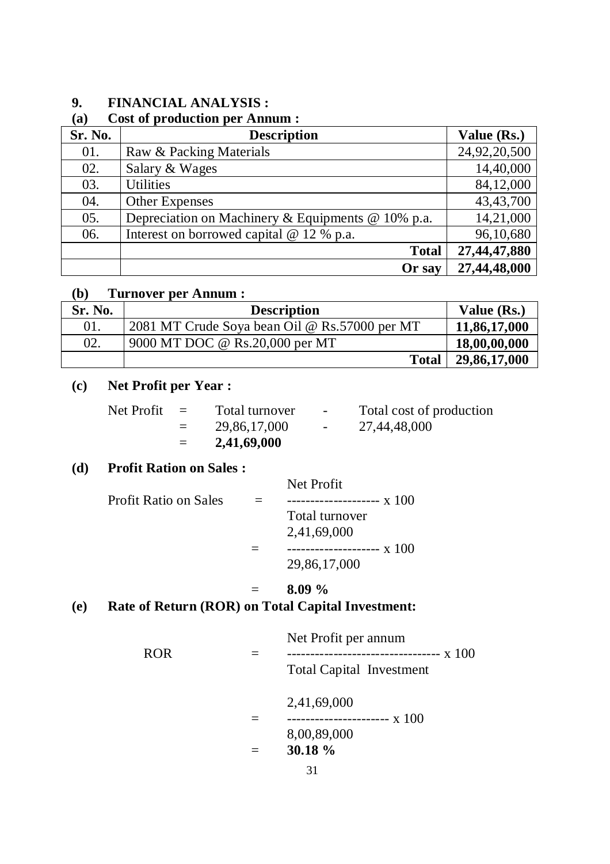# **9. FINANCIAL ANALYSIS :**

### **(a) Cost of production per Annum :**

| Sr. No. | <b>Description</b>                                       | Value (Rs.)  |
|---------|----------------------------------------------------------|--------------|
| 01.     | Raw & Packing Materials                                  | 24,92,20,500 |
| 02.     | Salary & Wages                                           | 14,40,000    |
| 03.     | <b>Utilities</b>                                         | 84,12,000    |
| 04.     | <b>Other Expenses</b>                                    | 43,43,700    |
| 05.     | Depreciation on Machinery & Equipments $\omega$ 10% p.a. | 14,21,000    |
| 06.     | Interest on borrowed capital $@ 12 % p.a.$               | 96,10,680    |
|         | <b>Total</b>                                             | 27,44,47,880 |
|         | Or say                                                   | 27,44,48,000 |

### **(b) Turnover per Annum :**

| Sr. No. | <b>Description</b>                            | Value (Rs.)  |
|---------|-----------------------------------------------|--------------|
| 01.     | 2081 MT Crude Soya bean Oil @ Rs.57000 per MT | 11,86,17,000 |
| 02.     | 9000 MT DOC @ Rs.20,000 per MT                | 18,00,00,000 |
|         | <b>Total</b>                                  | 29,86,17,000 |

# **(c) Net Profit per Year :**

| Net Profit | $\equiv$ | Total turnover | $\overline{\phantom{0}}$ | Total cost of production |
|------------|----------|----------------|--------------------------|--------------------------|
|            | $\equiv$ | 29,86,17,000   | $\overline{\phantom{0}}$ | 27,44,48,000             |

= **2,41,69,000**

# **(d) Profit Ration on Sales :**

### Net Profit

| <b>Profit Ratio on Sales</b> | -------------------- $x$ 100 |
|------------------------------|------------------------------|
|                              | Total turnover               |
|                              | 2,41,69,000                  |
|                              | -------------------- $x$ 100 |
|                              | 29,86,17,000                 |

## $=$  **8.09** %

# **(e) Rate of Return (ROR) on Total Capital Investment:**

|     | Net Profit per annum            |
|-----|---------------------------------|
| ROR |                                 |
|     | <b>Total Capital Investment</b> |
|     | 2,41,69,000                     |
|     | ---------------------- x 100    |
|     | 8,00,89,000                     |
|     | $30.18 \%$                      |
|     |                                 |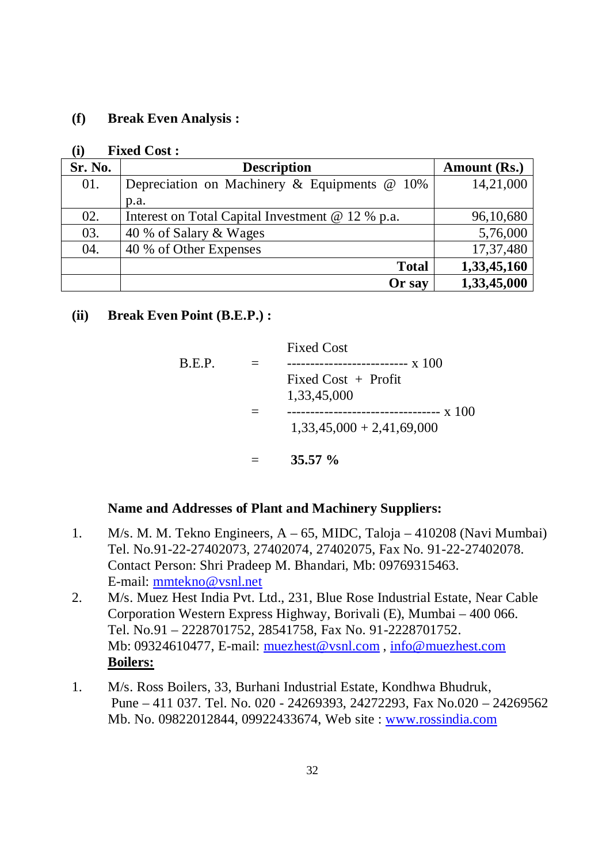### **(f) Break Even Analysis :**

#### **(i) Fixed Cost :**

| Sr. No. | <b>Description</b>                               | Amount (Rs.) |
|---------|--------------------------------------------------|--------------|
| 01.     | Depreciation on Machinery & Equipments @ 10%     | 14,21,000    |
|         | p.a.                                             |              |
| 02.     | Interest on Total Capital Investment @ 12 % p.a. | 96,10,680    |
| 03.     | 40 % of Salary & Wages                           | 5,76,000     |
| 04.     | 40 % of Other Expenses                           | 17,37,480    |
|         | <b>Total</b>                                     | 1,33,45,160  |
|         | Or say                                           | 1,33,45,000  |

### **(ii) Break Even Point (B.E.P.) :**

|        | $35.57 \%$                           |
|--------|--------------------------------------|
|        | $1,33,45,000 + 2,41,69,000$          |
|        | Fixed Cost $+$ Profit<br>1,33,45,000 |
| B.E.P. | <b>Fixed Cost</b>                    |

### **Name and Addresses of Plant and Machinery Suppliers:**

- 1. M/s. M. M. Tekno Engineers, A 65, MIDC, Taloja 410208 (Navi Mumbai) Tel. No.91-22-27402073, 27402074, 27402075, Fax No. 91-22-27402078. Contact Person: Shri Pradeep M. Bhandari, Mb: 09769315463. E-mail: mmtekno@vsnl.net
- 2. M/s. Muez Hest India Pvt. Ltd., 231, Blue Rose Industrial Estate, Near Cable Corporation Western Express Highway, Borivali (E), Mumbai – 400 066. Tel. No.91 – 2228701752, 28541758, Fax No. 91-2228701752. Mb: 09324610477, E-mail: muezhest@vsnl.com , info@muezhest.com **Boilers:**
- 1. M/s. Ross Boilers, 33, Burhani Industrial Estate, Kondhwa Bhudruk, Pune – 411 037. Tel. No. 020 - 24269393, 24272293, Fax No.020 – 24269562 Mb. No. 09822012844, 09922433674, Web site : www.rossindia.com